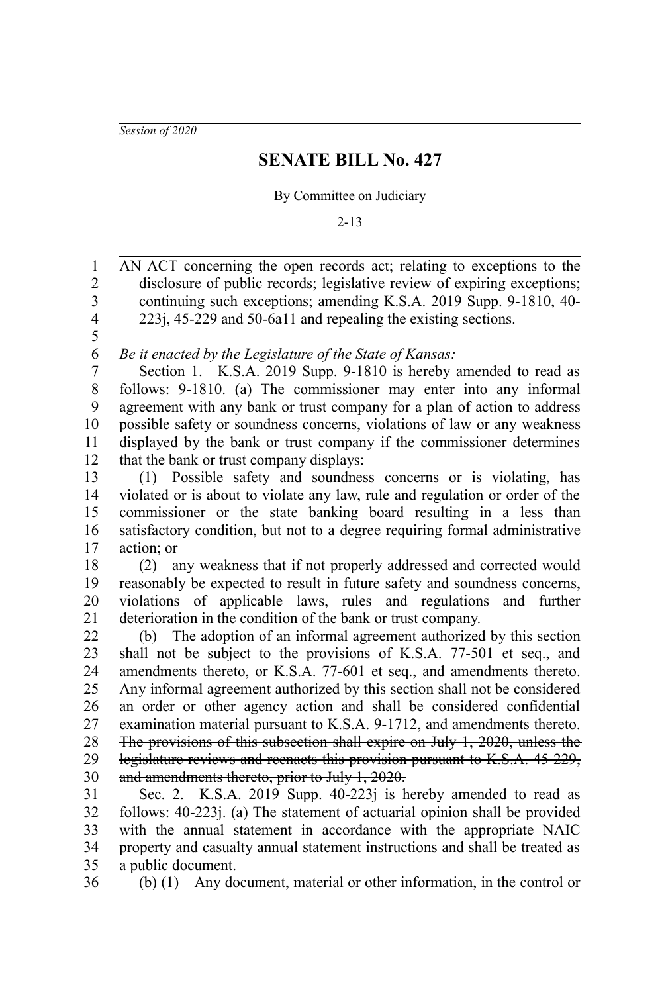*Session of 2020*

## **SENATE BILL No. 427**

By Committee on Judiciary

2-13

AN ACT concerning the open records act; relating to exceptions to the disclosure of public records; legislative review of expiring exceptions; continuing such exceptions; amending K.S.A. 2019 Supp. 9-1810, 40- 223j, 45-229 and 50-6a11 and repealing the existing sections. *Be it enacted by the Legislature of the State of Kansas:* Section 1. K.S.A. 2019 Supp. 9-1810 is hereby amended to read as follows: 9-1810. (a) The commissioner may enter into any informal agreement with any bank or trust company for a plan of action to address possible safety or soundness concerns, violations of law or any weakness displayed by the bank or trust company if the commissioner determines that the bank or trust company displays: (1) Possible safety and soundness concerns or is violating, has violated or is about to violate any law, rule and regulation or order of the commissioner or the state banking board resulting in a less than satisfactory condition, but not to a degree requiring formal administrative action; or (2) any weakness that if not properly addressed and corrected would reasonably be expected to result in future safety and soundness concerns, violations of applicable laws, rules and regulations and further deterioration in the condition of the bank or trust company. (b) The adoption of an informal agreement authorized by this section shall not be subject to the provisions of K.S.A. 77-501 et seq., and amendments thereto, or K.S.A. 77-601 et seq., and amendments thereto. Any informal agreement authorized by this section shall not be considered an order or other agency action and shall be considered confidential examination material pursuant to K.S.A. 9-1712, and amendments thereto. The provisions of this subsection shall expire on July 1, 2020, unless the legislature reviews and reenacts this provision pursuant to K.S.A. 45-229, and amendments thereto, prior to July 1, 2020. Sec. 2. K.S.A. 2019 Supp. 40-223*j* is hereby amended to read as follows: 40-223j. (a) The statement of actuarial opinion shall be provided 1 2 3 4 5 6 7 8 9 10 11 12 13 14 15 16 17 18 19 20 21 22 23 24 25 26 27 28 29 30 31 32

with the annual statement in accordance with the appropriate NAIC property and casualty annual statement instructions and shall be treated as a public document. 33 34 35

36

(b) (1) Any document, material or other information, in the control or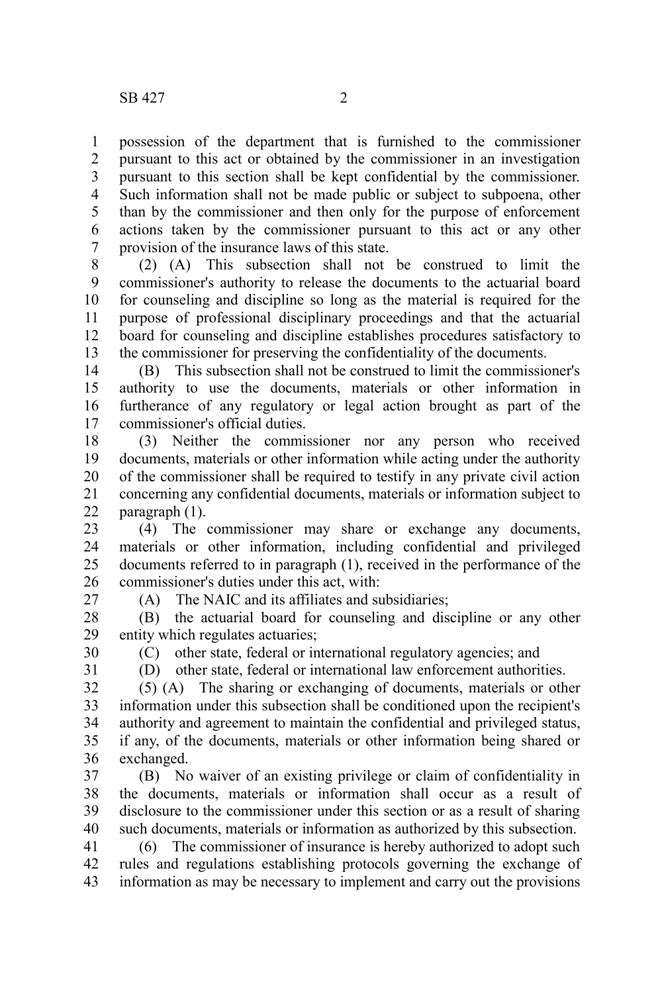possession of the department that is furnished to the commissioner pursuant to this act or obtained by the commissioner in an investigation pursuant to this section shall be kept confidential by the commissioner. Such information shall not be made public or subject to subpoena, other than by the commissioner and then only for the purpose of enforcement actions taken by the commissioner pursuant to this act or any other provision of the insurance laws of this state. 1 2 3 4 5 6 7

(2) (A) This subsection shall not be construed to limit the commissioner's authority to release the documents to the actuarial board for counseling and discipline so long as the material is required for the purpose of professional disciplinary proceedings and that the actuarial board for counseling and discipline establishes procedures satisfactory to the commissioner for preserving the confidentiality of the documents. 8 9 10 11 12 13

(B) This subsection shall not be construed to limit the commissioner's authority to use the documents, materials or other information in furtherance of any regulatory or legal action brought as part of the commissioner's official duties. 14 15 16 17

(3) Neither the commissioner nor any person who received documents, materials or other information while acting under the authority of the commissioner shall be required to testify in any private civil action concerning any confidential documents, materials or information subject to paragraph (1). 18 19 20 21 22

(4) The commissioner may share or exchange any documents, materials or other information, including confidential and privileged documents referred to in paragraph (1), received in the performance of the commissioner's duties under this act, with: 23 24 25 26

27

(A) The NAIC and its affiliates and subsidiaries;

(B) the actuarial board for counseling and discipline or any other entity which regulates actuaries; 28 29

30

(C) other state, federal or international regulatory agencies; and

31

(D) other state, federal or international law enforcement authorities.

(5) (A) The sharing or exchanging of documents, materials or other information under this subsection shall be conditioned upon the recipient's authority and agreement to maintain the confidential and privileged status, if any, of the documents, materials or other information being shared or exchanged. 32 33 34 35 36

(B) No waiver of an existing privilege or claim of confidentiality in the documents, materials or information shall occur as a result of disclosure to the commissioner under this section or as a result of sharing such documents, materials or information as authorized by this subsection. 37 38 39 40

(6) The commissioner of insurance is hereby authorized to adopt such rules and regulations establishing protocols governing the exchange of information as may be necessary to implement and carry out the provisions 41 42 43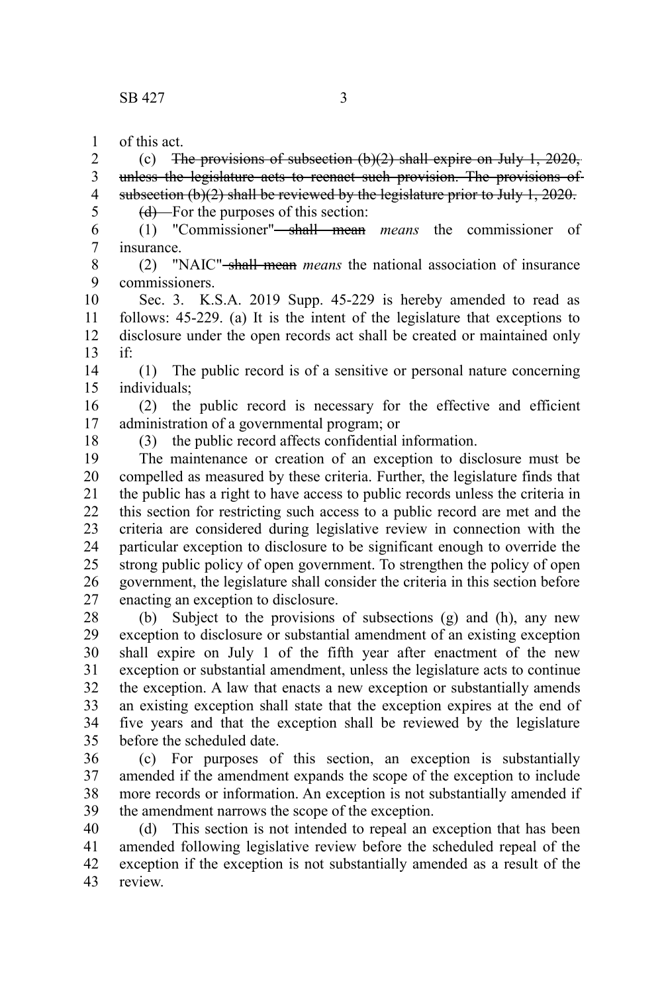of this act. 1

(c) The provisions of subsection  $(b)(2)$  shall expire on July 1, 2020, unless the legislature acts to reenact such provision. The provisions of subsection  $(b)(2)$  shall be reviewed by the legislature prior to July 1, 2020. 2 3 4 5

 $(d)$ —For the purposes of this section:

(1) "Commissioner" shall mean *means* the commissioner of insurance. 6 7

8 9

(2) "NAIC" shall mean *means* the national association of insurance commissioners.

Sec. 3. K.S.A. 2019 Supp. 45-229 is hereby amended to read as follows: 45-229. (a) It is the intent of the legislature that exceptions to disclosure under the open records act shall be created or maintained only if: 10 11 12 13

(1) The public record is of a sensitive or personal nature concerning individuals; 14 15

(2) the public record is necessary for the effective and efficient administration of a governmental program; or 16 17

18

(3) the public record affects confidential information.

The maintenance or creation of an exception to disclosure must be compelled as measured by these criteria. Further, the legislature finds that the public has a right to have access to public records unless the criteria in this section for restricting such access to a public record are met and the criteria are considered during legislative review in connection with the particular exception to disclosure to be significant enough to override the strong public policy of open government. To strengthen the policy of open government, the legislature shall consider the criteria in this section before enacting an exception to disclosure. 19 20 21 22 23 24 25 26 27

(b) Subject to the provisions of subsections (g) and (h), any new exception to disclosure or substantial amendment of an existing exception shall expire on July 1 of the fifth year after enactment of the new exception or substantial amendment, unless the legislature acts to continue the exception. A law that enacts a new exception or substantially amends an existing exception shall state that the exception expires at the end of five years and that the exception shall be reviewed by the legislature before the scheduled date. 28 29 30 31 32 33 34 35

(c) For purposes of this section, an exception is substantially amended if the amendment expands the scope of the exception to include more records or information. An exception is not substantially amended if the amendment narrows the scope of the exception. 36 37 38 39

(d) This section is not intended to repeal an exception that has been amended following legislative review before the scheduled repeal of the exception if the exception is not substantially amended as a result of the review. 40 41 42 43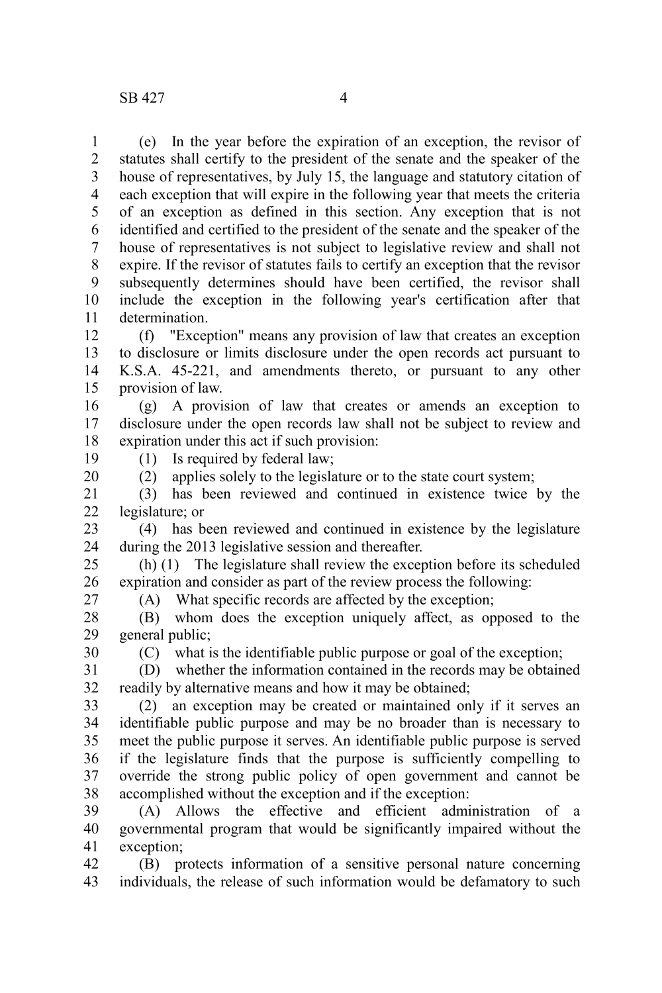(e) In the year before the expiration of an exception, the revisor of statutes shall certify to the president of the senate and the speaker of the house of representatives, by July 15, the language and statutory citation of each exception that will expire in the following year that meets the criteria of an exception as defined in this section. Any exception that is not identified and certified to the president of the senate and the speaker of the house of representatives is not subject to legislative review and shall not expire. If the revisor of statutes fails to certify an exception that the revisor subsequently determines should have been certified, the revisor shall include the exception in the following year's certification after that determination. 1 2 3 4 5 6 7 8 9 10 11

(f) "Exception" means any provision of law that creates an exception to disclosure or limits disclosure under the open records act pursuant to K.S.A. 45-221, and amendments thereto, or pursuant to any other provision of law. 12 13 14 15

(g) A provision of law that creates or amends an exception to disclosure under the open records law shall not be subject to review and expiration under this act if such provision: 16 17 18

19

(1) Is required by federal law;

(2) applies solely to the legislature or to the state court system; 20

(3) has been reviewed and continued in existence twice by the legislature; or 21 22

(4) has been reviewed and continued in existence by the legislature during the 2013 legislative session and thereafter. 23 24

(h) (1) The legislature shall review the exception before its scheduled expiration and consider as part of the review process the following: 25 26

27

(A) What specific records are affected by the exception;

(B) whom does the exception uniquely affect, as opposed to the general public; 28 29

30

(C) what is the identifiable public purpose or goal of the exception; (D) whether the information contained in the records may be obtained

readily by alternative means and how it may be obtained; 31 32

(2) an exception may be created or maintained only if it serves an identifiable public purpose and may be no broader than is necessary to meet the public purpose it serves. An identifiable public purpose is served if the legislature finds that the purpose is sufficiently compelling to override the strong public policy of open government and cannot be accomplished without the exception and if the exception: 33 34 35 36 37 38

(A) Allows the effective and efficient administration of a governmental program that would be significantly impaired without the exception; 39 40 41

(B) protects information of a sensitive personal nature concerning individuals, the release of such information would be defamatory to such 42 43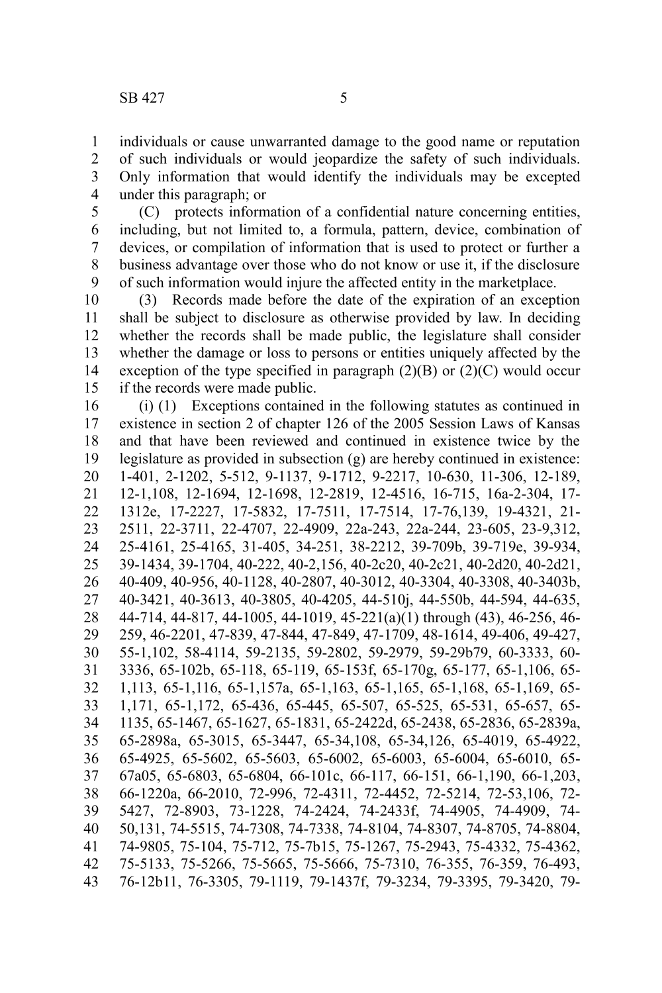individuals or cause unwarranted damage to the good name or reputation 1

of such individuals or would jeopardize the safety of such individuals. Only information that would identify the individuals may be excepted under this paragraph; or 2 3 4

(C) protects information of a confidential nature concerning entities, including, but not limited to, a formula, pattern, device, combination of devices, or compilation of information that is used to protect or further a business advantage over those who do not know or use it, if the disclosure of such information would injure the affected entity in the marketplace. 5 6 7 8 9

(3) Records made before the date of the expiration of an exception shall be subject to disclosure as otherwise provided by law. In deciding whether the records shall be made public, the legislature shall consider whether the damage or loss to persons or entities uniquely affected by the exception of the type specified in paragraph  $(2)(B)$  or  $(2)(C)$  would occur if the records were made public. 10 11 12 13 14 15

(i) (1) Exceptions contained in the following statutes as continued in existence in section 2 of chapter 126 of the 2005 Session Laws of Kansas and that have been reviewed and continued in existence twice by the legislature as provided in subsection (g) are hereby continued in existence: 1-401, 2-1202, 5-512, 9-1137, 9-1712, 9-2217, 10-630, 11-306, 12-189, 12-1,108, 12-1694, 12-1698, 12-2819, 12-4516, 16-715, 16a-2-304, 17- 1312e, 17-2227, 17-5832, 17-7511, 17-7514, 17-76,139, 19-4321, 21- 2511, 22-3711, 22-4707, 22-4909, 22a-243, 22a-244, 23-605, 23-9,312, 25-4161, 25-4165, 31-405, 34-251, 38-2212, 39-709b, 39-719e, 39-934, 39-1434, 39-1704, 40-222, 40-2,156, 40-2c20, 40-2c21, 40-2d20, 40-2d21, 40-409, 40-956, 40-1128, 40-2807, 40-3012, 40-3304, 40-3308, 40-3403b, 40-3421, 40-3613, 40-3805, 40-4205, 44-510j, 44-550b, 44-594, 44-635, 44-714, 44-817, 44-1005, 44-1019, 45-221(a)(1) through (43), 46-256, 46- 259, 46-2201, 47-839, 47-844, 47-849, 47-1709, 48-1614, 49-406, 49-427, 55-1,102, 58-4114, 59-2135, 59-2802, 59-2979, 59-29b79, 60-3333, 60- 3336, 65-102b, 65-118, 65-119, 65-153f, 65-170g, 65-177, 65-1,106, 65- 1,113, 65-1,116, 65-1,157a, 65-1,163, 65-1,165, 65-1,168, 65-1,169, 65- 1,171, 65-1,172, 65-436, 65-445, 65-507, 65-525, 65-531, 65-657, 65- 1135, 65-1467, 65-1627, 65-1831, 65-2422d, 65-2438, 65-2836, 65-2839a, 65-2898a, 65-3015, 65-3447, 65-34,108, 65-34,126, 65-4019, 65-4922, 65-4925, 65-5602, 65-5603, 65-6002, 65-6003, 65-6004, 65-6010, 65- 67a05, 65-6803, 65-6804, 66-101c, 66-117, 66-151, 66-1,190, 66-1,203, 66-1220a, 66-2010, 72-996, 72-4311, 72-4452, 72-5214, 72-53,106, 72- 5427, 72-8903, 73-1228, 74-2424, 74-2433f, 74-4905, 74-4909, 74- 50,131, 74-5515, 74-7308, 74-7338, 74-8104, 74-8307, 74-8705, 74-8804, 74-9805, 75-104, 75-712, 75-7b15, 75-1267, 75-2943, 75-4332, 75-4362, 75-5133, 75-5266, 75-5665, 75-5666, 75-7310, 76-355, 76-359, 76-493, 76-12b11, 76-3305, 79-1119, 79-1437f, 79-3234, 79-3395, 79-3420, 79- 16 17 18 19 20 21 22 23 24 25 26 27 28 29 30 31 32 33 34 35 36 37 38 39 40 41 42 43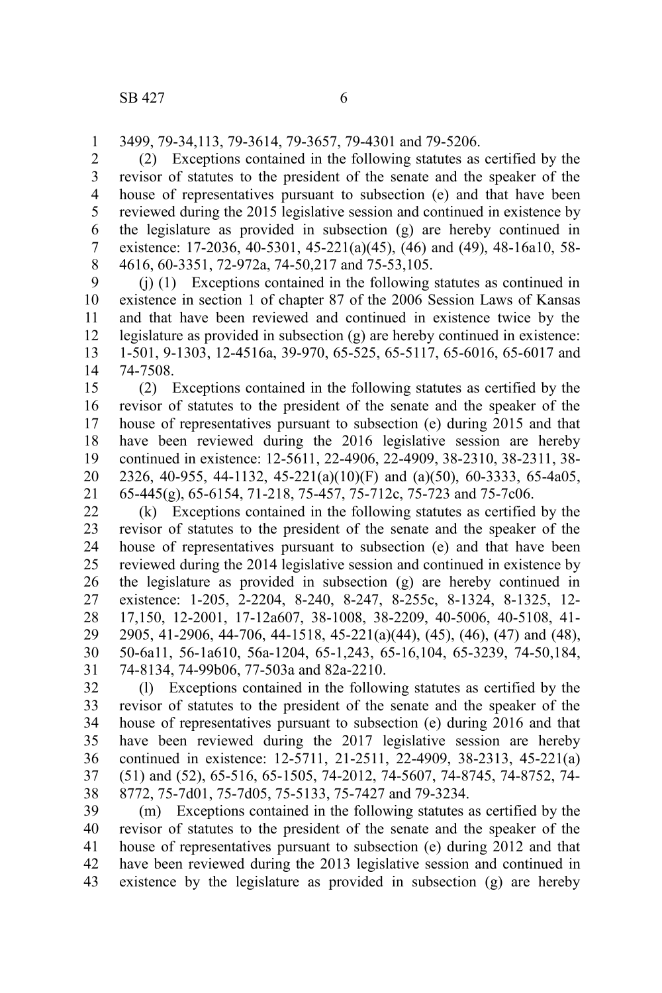3499, 79-34,113, 79-3614, 79-3657, 79-4301 and 79-5206. 1

(2) Exceptions contained in the following statutes as certified by the revisor of statutes to the president of the senate and the speaker of the house of representatives pursuant to subsection (e) and that have been reviewed during the 2015 legislative session and continued in existence by the legislature as provided in subsection (g) are hereby continued in existence: 17-2036, 40-5301, 45-221(a)(45), (46) and (49), 48-16a10, 58- 4616, 60-3351, 72-972a, 74-50,217 and 75-53,105. 2 3 4 5 6 7 8

(j) (1) Exceptions contained in the following statutes as continued in existence in section 1 of chapter 87 of the 2006 Session Laws of Kansas and that have been reviewed and continued in existence twice by the legislature as provided in subsection (g) are hereby continued in existence: 1-501, 9-1303, 12-4516a, 39-970, 65-525, 65-5117, 65-6016, 65-6017 and 74-7508. 9 10 11 12 13 14

(2) Exceptions contained in the following statutes as certified by the revisor of statutes to the president of the senate and the speaker of the house of representatives pursuant to subsection (e) during 2015 and that have been reviewed during the 2016 legislative session are hereby continued in existence: 12-5611, 22-4906, 22-4909, 38-2310, 38-2311, 38- 2326, 40-955, 44-1132, 45-221(a)(10)(F) and (a)(50), 60-3333, 65-4a05, 65-445(g), 65-6154, 71-218, 75-457, 75-712c, 75-723 and 75-7c06. 15 16 17 18 19 20 21

(k) Exceptions contained in the following statutes as certified by the revisor of statutes to the president of the senate and the speaker of the house of representatives pursuant to subsection (e) and that have been reviewed during the 2014 legislative session and continued in existence by the legislature as provided in subsection (g) are hereby continued in existence: 1-205, 2-2204, 8-240, 8-247, 8-255c, 8-1324, 8-1325, 12- 17,150, 12-2001, 17-12a607, 38-1008, 38-2209, 40-5006, 40-5108, 41- 2905, 41-2906, 44-706, 44-1518, 45-221(a)(44), (45), (46), (47) and (48), 50-6a11, 56-1a610, 56a-1204, 65-1,243, 65-16,104, 65-3239, 74-50,184, 74-8134, 74-99b06, 77-503a and 82a-2210. 22 23 24 25 26 27 28 29 30 31

(l) Exceptions contained in the following statutes as certified by the revisor of statutes to the president of the senate and the speaker of the house of representatives pursuant to subsection (e) during 2016 and that have been reviewed during the 2017 legislative session are hereby continued in existence: 12-5711, 21-2511, 22-4909, 38-2313, 45-221(a) (51) and (52), 65-516, 65-1505, 74-2012, 74-5607, 74-8745, 74-8752, 74- 8772, 75-7d01, 75-7d05, 75-5133, 75-7427 and 79-3234. 32 33 34 35 36 37 38

(m) Exceptions contained in the following statutes as certified by the revisor of statutes to the president of the senate and the speaker of the house of representatives pursuant to subsection (e) during 2012 and that have been reviewed during the 2013 legislative session and continued in existence by the legislature as provided in subsection (g) are hereby 39 40 41 42 43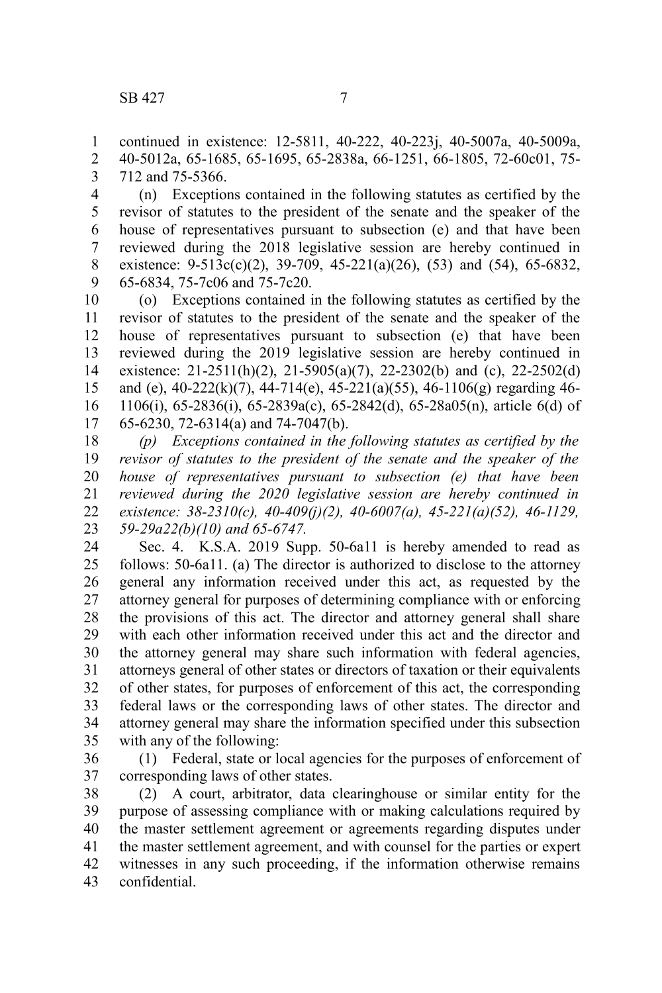continued in existence: 12-5811, 40-222, 40-223j, 40-5007a, 40-5009a, 40-5012a, 65-1685, 65-1695, 65-2838a, 66-1251, 66-1805, 72-60c01, 75- 712 and 75-5366. 1 2 3

(n) Exceptions contained in the following statutes as certified by the revisor of statutes to the president of the senate and the speaker of the house of representatives pursuant to subsection (e) and that have been reviewed during the 2018 legislative session are hereby continued in existence:  $9-513c(c)(2)$ ,  $39-709$ ,  $45-221(a)(26)$ ,  $(53)$  and  $(54)$ ,  $65-6832$ , 65-6834, 75-7c06 and 75-7c20. 4 5 6 7 8 9

(o) Exceptions contained in the following statutes as certified by the revisor of statutes to the president of the senate and the speaker of the house of representatives pursuant to subsection (e) that have been reviewed during the 2019 legislative session are hereby continued in existence:  $21-2511(h)(2)$ ,  $21-5905(a)(7)$ ,  $22-2302(b)$  and (c),  $22-2502(d)$ and (e), 40-222(k)(7), 44-714(e), 45-221(a)(55), 46-1106(g) regarding 46- 1106(i), 65-2836(i), 65-2839a(c), 65-2842(d), 65-28a05(n), article 6(d) of 65-6230, 72-6314(a) and 74-7047(b). 10 11 12 13 14 15 16 17

*(p) Exceptions contained in the following statutes as certified by the revisor of statutes to the president of the senate and the speaker of the house of representatives pursuant to subsection (e) that have been reviewed during the 2020 legislative session are hereby continued in existence: 38-2310(c), 40-409(j)(2), 40-6007(a), 45-221(a)(52), 46-1129, 59-29a22(b)(10) and 65-6747.* 18 19 20 21 22 23

Sec. 4. K.S.A. 2019 Supp. 50-6a11 is hereby amended to read as follows: 50-6a11. (a) The director is authorized to disclose to the attorney general any information received under this act, as requested by the attorney general for purposes of determining compliance with or enforcing the provisions of this act. The director and attorney general shall share with each other information received under this act and the director and the attorney general may share such information with federal agencies, attorneys general of other states or directors of taxation or their equivalents of other states, for purposes of enforcement of this act, the corresponding federal laws or the corresponding laws of other states. The director and attorney general may share the information specified under this subsection with any of the following: 24 25 26 27 28 29 30 31 32 33 34 35

(1) Federal, state or local agencies for the purposes of enforcement of corresponding laws of other states. 36 37

(2) A court, arbitrator, data clearinghouse or similar entity for the purpose of assessing compliance with or making calculations required by the master settlement agreement or agreements regarding disputes under the master settlement agreement, and with counsel for the parties or expert witnesses in any such proceeding, if the information otherwise remains confidential. 38 39 40 41 42 43